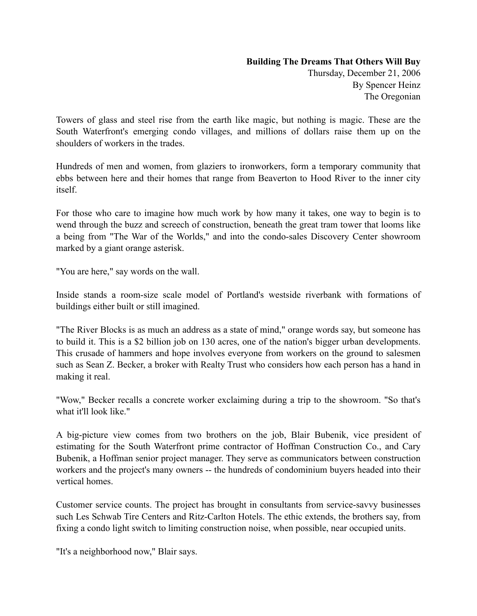## **Building The Dreams That Others Will Buy**

Thursday, December 21, 2006 By Spencer Heinz The Oregonian

Towers of glass and steel rise from the earth like magic, but nothing is magic. These are the South Waterfront's emerging condo villages, and millions of dollars raise them up on the shoulders of workers in the trades.

Hundreds of men and women, from glaziers to ironworkers, form a temporary community that ebbs between here and their homes that range from Beaverton to Hood River to the inner city itself.

For those who care to imagine how much work by how many it takes, one way to begin is to wend through the buzz and screech of construction, beneath the great tram tower that looms like a being from "The War of the Worlds," and into the condo-sales Discovery Center showroom marked by a giant orange asterisk.

"You are here," say words on the wall.

Inside stands a room-size scale model of Portland's westside riverbank with formations of buildings either built or still imagined.

"The River Blocks is as much an address as a state of mind," orange words say, but someone has to build it. This is a \$2 billion job on 130 acres, one of the nation's bigger urban developments. This crusade of hammers and hope involves everyone from workers on the ground to salesmen such as Sean Z. Becker, a broker with Realty Trust who considers how each person has a hand in making it real.

"Wow," Becker recalls a concrete worker exclaiming during a trip to the showroom. "So that's what it'll look like."

A big-picture view comes from two brothers on the job, Blair Bubenik, vice president of estimating for the South Waterfront prime contractor of Hoffman Construction Co., and Cary Bubenik, a Hoffman senior project manager. They serve as communicators between construction workers and the project's many owners -- the hundreds of condominium buyers headed into their vertical homes.

Customer service counts. The project has brought in consultants from service-savvy businesses such Les Schwab Tire Centers and Ritz-Carlton Hotels. The ethic extends, the brothers say, from fixing a condo light switch to limiting construction noise, when possible, near occupied units.

"It's a neighborhood now," Blair says.